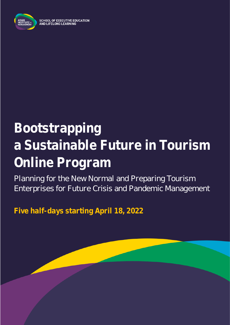

# **Bootstrapping a Sustainable Future in Tourism Online Program**

Planning for the New Normal and Preparing Tourism Enterprises for Future Crisis and Pandemic Management

**Five half-days starting April 18, 2022**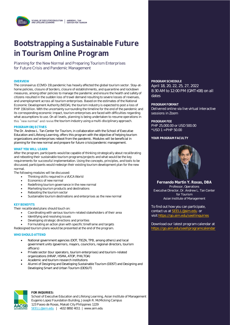### **Bootstrapping a Sustainable Future in Tourism Online Program**

Planning for the New Normal and Preparing Tourism Enterprises for Future Crisis and Pandemic Management

The coronavirus (COVID-19) pandemic has heavily affected the global tourism sector. Stay-athome policies, closure of borders, closure of establishments, and quarantine and lockdown measures, among other policies to manage the pandemic and ensure the health and safety of citizens resulted in the sudden loss of travel demand resulting to severe losses of revenues, and unemployment across all tourism enterprises. Based on the estimates of the National Economic Development Authority (NEDA), the tourism industry is expected to post a loss of PHP 156 billion. With the uncertainty surrounding the timeline for the end of the pandemic and its corresponding economic impact, tourism enterprises are faced with difficulties regarding what assumptions to use. On all levels, planning is being undertaken to resume operations in this "new normal" and revive the tourism industry using a multi-disciplinary approach.

#### **PROGRAM OBJECTIVES**

The Dr. Andrew L. Tan Center for Tourism, in collaboration with the School of Executive Education and Lifelong Learning, offers this program with the objective of helping tourism organizations and enterprises reboot from the pandemic. Modules will be beneficial in planning for the new normal and prepare for future crisis/pandemic management.

#### **WHAT YOU WILL LEARN**

After the program, participants would be capable of thinking strategically about recalibrating and rebooting their sustainable tourism programs/projects and what would be the key requirements for successful implementation. Using the concepts, principles, and tools to be discussed, participants would redesign their existing tourism development plan for the new normal.

The following modules will be discussed:

- Thinking skills required in a VUCA World
- Economics of new normal
- Redefining tourism governance in the new normal
- Marketing tourism products and destinations
- Rebooting the tourism sector
- Sustainable tourism destinations and enterprises as the new normal

#### **KEY BENEFITS KEY BENEFITS**

Their recalibrated plans should touch on: Their recalibrated plans should touch on:

- Coordinating with various tourism-related stakeholders of their area Coordinating with various tourism-related stakeholders of their area
- Identifying and resolving issues Identifying and resolving issues
- Developing strategic directions and priorities

• Formulating an action plan with specific timeframe and targets • Formulating an action plan with specific timeframe and targets

Redesigned tourism plans would be presented at the end of the program. Redesigned tourism plans would be presented at the end of the program.

### **WHO SHOULD ATTEND WHO SHOULD ATTEND**

- National government agencies (DOT, TIEZA, TPB, among others) and local National government agencies (DOT, TIEZA, TPB, among others) and local government units (governors, mayors, councilors, regional directors, tourism government units (governors, mayors, councilors, regional directors, tourism officers) officers)
- Private sector (tour operators, tourism enterprises) and tourism-related Private sector (tour operators, tourism enterprises) and tourism-related organizations (HRAP, HSMA, ATOP, PHILTOA) organizations (HRAP, HSMA, ATOP, PHILTOA)
- Academic and tourism research institutions Academic and tourism research institutions
- Alumni of Designing and Developing Sustainable Tourism (DDST) and Designing and Alumni of Designing and Developing Sustainable Tourism (DDST) and Designing and Developing Smart and Urban Tourism (DDSUT) Developing Smart and Urban Tourism (DDSUT)



#### **FOR INQUIRIES:**

School of Executive Education and Lifelong Learning, Asian Institute of Management Eugenio Lopez Foundation Building, Joseph R. McMicking Campus 123 Paseo de Roxas, Makati City Philippines 1229 [SEELL@aim.edu](mailto:SEELL@aim.edu) | +632 8892 4011 | www.aim.edu

#### **OVERVIEW PROGRAM SCHEDULE** April 18, 20, 22, 25, 27, 2022 8:30 AM to 12:00 PM (GMT+08) on all dates

**PROGRAM FORMAT** Delivered online via live virtual interactive sessions in Zoom

**PROGRAM FEE** PHP 25,000.00 or USD 500.00 \*USD 1 = PHP 50.00

YOUR PROGRAM FACULTY



**Fernando Martin Y. Roxas, DBA** Professor, Operations Executive Director, Dr. Andrew L. Tan Center for Tourism Asian Institute of Management

To find out how you can participate, contact us at [SEELL@aim.edu](mailto:SEELL@aim.edu) or visit<https://go.aim.edu/seellinquiries>

Download our latest program calendar at <https://go.aim.edu/seellprogramcalendar>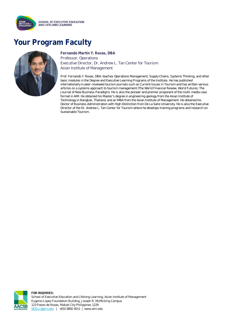

### **Your Program Faculty**



**Fernando Martin Y. Roxas, DBA** Professor, Operations Executive Director, Dr. Andrew L. Tan Center for Tourism Asian Institute of Management

Prof. Fernando Y. Roxas, DBA, teaches Operations Management, Supply Chains, Systems Thinking, and other basic modules in the Degree and Executive Learning Programs of the Institute. He has published internationally in peer-reviewed tourism journals such as Current Issues in Tourism and has written various articles on a systems approach to tourism management (The World Financial Review, World Futures: The Journal of New Business Paradigm). He is also the pioneer and premier proponent of the multi-media case format in AIM. He obtained his Master's degree in engineering geology from the Asian Institute of Technology in Bangkok, Thailand, and an MBA from the Asian Institute of Management. He obtained his Doctor of Business Administration with High Distinction from De La Salle University. He is also the Executive Director of the Dr. Andrew L. Tan Center for Tourism where he develops training programs and research on Sustainable Tourism.



**FOR INQUIRIES:** School of Executive Education and Lifelong Learning, Asian Institute of Management Eugenio Lopez Foundation Building, Joseph R. McMicking Campus 123 Paseo de Roxas, Makati City Philippines 1229 [SEELL@aim.edu](mailto:SEELL@aim.edu) | +632 8892 4011 | www.aim.edu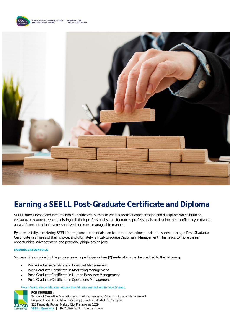



## **Earning a SEELL Post-Graduate Certificate and Diploma**

SEELL offers Post-Graduate Stackable Certificate Courses in various areas of concentration and discipline, which build an individual's qualifications and distinguish their professional value. It enables professionals to develop their proficiency in diverse areas of concentration in a personalized and more manageable manner.

By successfully completing SEELL's programs, credentials can be earned over time, stacked towards earning a Post-Graduate Certificate in an area of their choice, and ultimately, a Post-Graduate Diploma in Management. This leads to more career opportunities, advancement, and potentially high-paying jobs.

#### **EARNING CREDENTIALS**

Successfully completing the program earns participants **two (2) units** which can be credited to the following:

- Post-Graduate Certificate in Financial Management
- Post-Graduate Certificate in Marketing Management
- Post-Graduate Certificate in Human Resource Management
- Post-Graduate Certificate in Operations Management

#### \*Post-Graduate Certificates require five (5) units earned within two (2) years.



**FOR INQUIRIES:** School of Executive Education and Lifelong Learning, Asian Institute of Management Eugenio Lopez Foundation Building, Joseph R. McMicking Campus 123 Paseo de Roxas, Makati City Philippines 1229

[SEELL@aim.edu](mailto:SEELL@aim.edu) | +632 8892 4011 | www.aim.edu